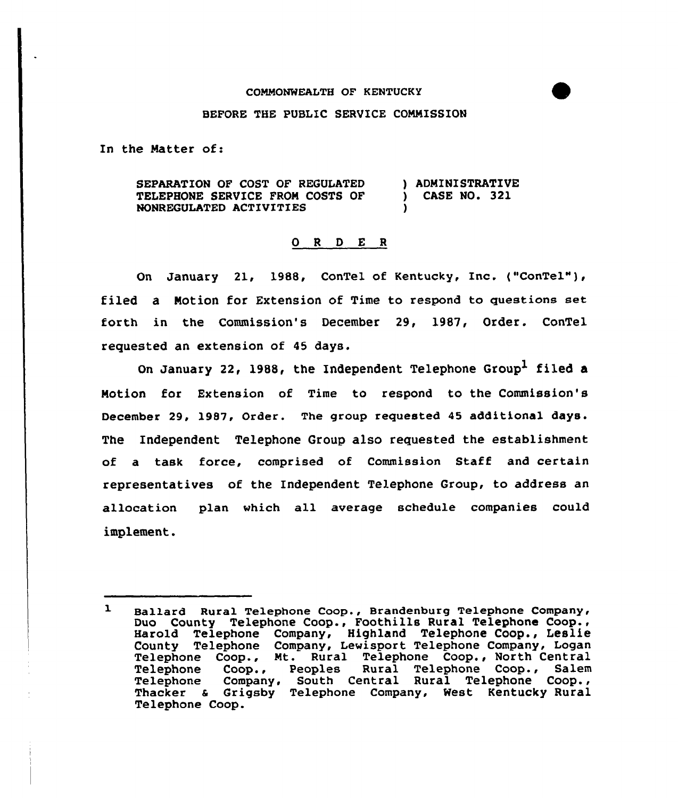## COMMONWEALTH OF KENTUCKY

## BEFORE THE PUBLIC SERVICE COMMISSION

In the Matter of:

SEPARATION OF COST OF REGULATED TELEPHONE SERVICE FROM COSTS OF NONREQULATED ACTIVITIES ) ADMINISTRATIVE ) CASE NO. 321 )

## 0 <sup>R</sup> <sup>D</sup> E <sup>R</sup>

On January 21, 1988, ConTel of Kentucky, Inc. ("ConTel"), filed a Motion for Extension of Time to respond to questions set forth in the Commission's December 29, l987, Order. ConTel requested an extension of 45 days.

On January 22, 1988, the Independent Telephone Group<sup>1</sup> filed a Motion for Extension of Time to respond to the Commission's December 29, 1987, Order. The group requested 45 additional days. The Independent Telephone Group also requested the establishment of a task force, comprised of Commission Staff and certain representatives of the Independent Telephone Group, to address an allocation plan Mhich all average schedule companies could implement.

 $\mathbf{1}$ Ballard Rural Telephone Coop., Brandenburg Telephone Company, Duo County Telephone Coop., Foothills Rural Telephone Coop., Harold Telephone Company, Highland Telephone Coop., Leslie County Telephone Company, Lewisport Telephone Company, Logan Telephone Coop., Mt. Rural Telephone Coop., North Central Telephone Coop., Peoples Rural Telephone Coop., Salem Telephone Company, South Central Rural Telephone Coop., Thacker & Grigsby Telephone Company, West Kentucky Rural Telephone Coop.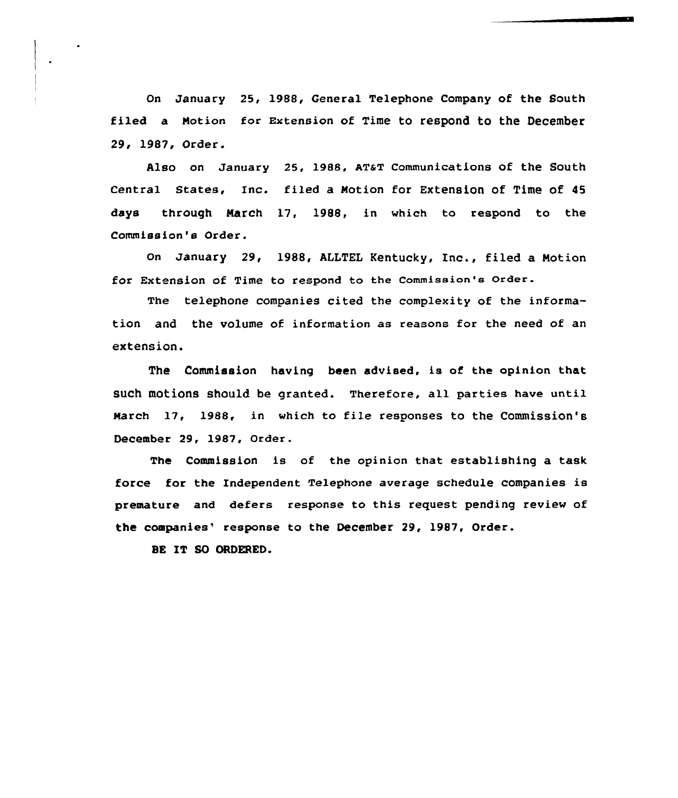On January 25, 1988, General Telephone Company of the South filed a Notion for Extension of Time to respond to the December 29, 1987, Order.

Also on January 25, 1988, AT&T Communications of the South Central States, Inc. filed a Notion for Extension of Time of 4S days through March 17, 1988, in which to respond to the Commission's Order.

On January 29, 1988, ALLTEL Kentucky, Inc., filed a Motion for Extension of Time to respond to the Commission's order.

The telephone companies cited the complexity of the information and the volume of information as reasons for the need of an extension.

The Commission having been advised, is of the opinion that such motions should be granted. Therefore, all parties have until March 17, 1988, in which to file responses to the Commission's December 29, 1987, Order.

The Commission is of the opinion that establishing a task force for the Independent Telephone average schedule companies is premature and defers response to this request pending review of the companies" response to the December 29, 1987, Order.

BE IT SO ORDERED.